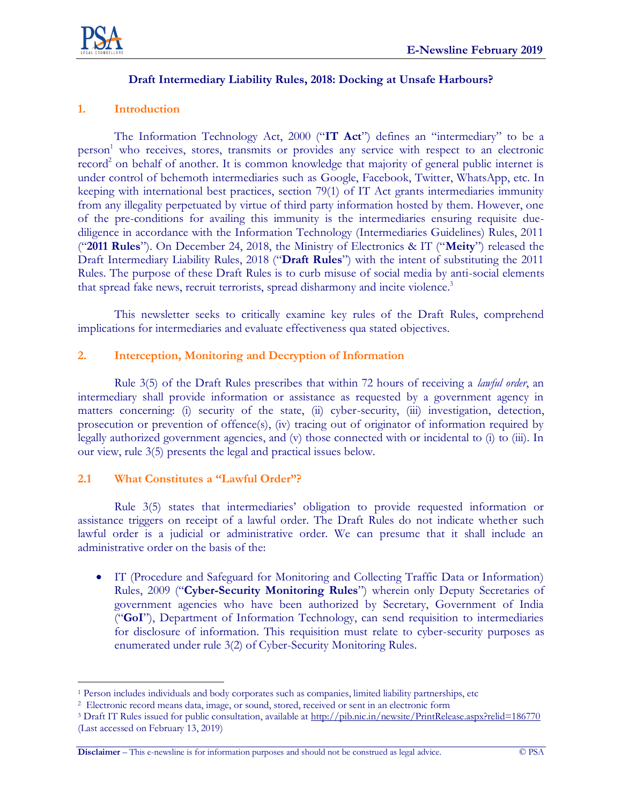

## **Draft Intermediary Liability Rules, 2018: Docking at Unsafe Harbours?**

## **1. Introduction**

The Information Technology Act, 2000 ("**IT Act**") defines an "intermediary" to be a person<sup>1</sup> who receives, stores, transmits or provides any service with respect to an electronic record<sup>2</sup> on behalf of another. It is common knowledge that majority of general public internet is under control of behemoth intermediaries such as Google, Facebook, Twitter, WhatsApp, etc. In keeping with international best practices, section 79(1) of IT Act grants intermediaries immunity from any illegality perpetuated by virtue of third party information hosted by them. However, one of the pre-conditions for availing this immunity is the intermediaries ensuring requisite duediligence in accordance with the Information Technology (Intermediaries Guidelines) Rules, 2011 ("**2011 Rules**"). On December 24, 2018, the Ministry of Electronics & IT ("**Meity**") released the Draft Intermediary Liability Rules, 2018 ("**Draft Rules**") with the intent of substituting the 2011 Rules. The purpose of these Draft Rules is to curb misuse of social media by anti-social elements that spread fake news, recruit terrorists, spread disharmony and incite violence.<sup>3</sup>

This newsletter seeks to critically examine key rules of the Draft Rules, comprehend implications for intermediaries and evaluate effectiveness qua stated objectives.

#### **2. Interception, Monitoring and Decryption of Information**

Rule 3(5) of the Draft Rules prescribes that within 72 hours of receiving a *lawful order*, an intermediary shall provide information or assistance as requested by a government agency in matters concerning: (i) security of the state, (ii) cyber-security, (iii) investigation, detection, prosecution or prevention of offence(s), (iv) tracing out of originator of information required by legally authorized government agencies, and (v) those connected with or incidental to (i) to (iii). In our view, rule 3(5) presents the legal and practical issues below.

#### **2.1 What Constitutes a "Lawful Order"?**

Rule 3(5) states that intermediaries' obligation to provide requested information or assistance triggers on receipt of a lawful order. The Draft Rules do not indicate whether such lawful order is a judicial or administrative order. We can presume that it shall include an administrative order on the basis of the:

 IT (Procedure and Safeguard for Monitoring and Collecting Traffic Data or Information) Rules, 2009 ("**Cyber-Security Monitoring Rules**") wherein only Deputy Secretaries of government agencies who have been authorized by Secretary, Government of India ("**GoI**"), Department of Information Technology, can send requisition to intermediaries for disclosure of information. This requisition must relate to cyber-security purposes as enumerated under rule 3(2) of Cyber-Security Monitoring Rules.

 $\overline{a}$ <sup>1</sup> Person includes individuals and body corporates such as companies, limited liability partnerships, etc

<sup>2</sup> Electronic record means data, image, or sound, stored, received or sent in an electronic form

<sup>3</sup> Draft IT Rules issued for public consultation, available a[t http://pib.nic.in/newsite/PrintRelease.aspx?relid=186770](http://pib.nic.in/newsite/PrintRelease.aspx?relid=186770) (Last accessed on February 13, 2019)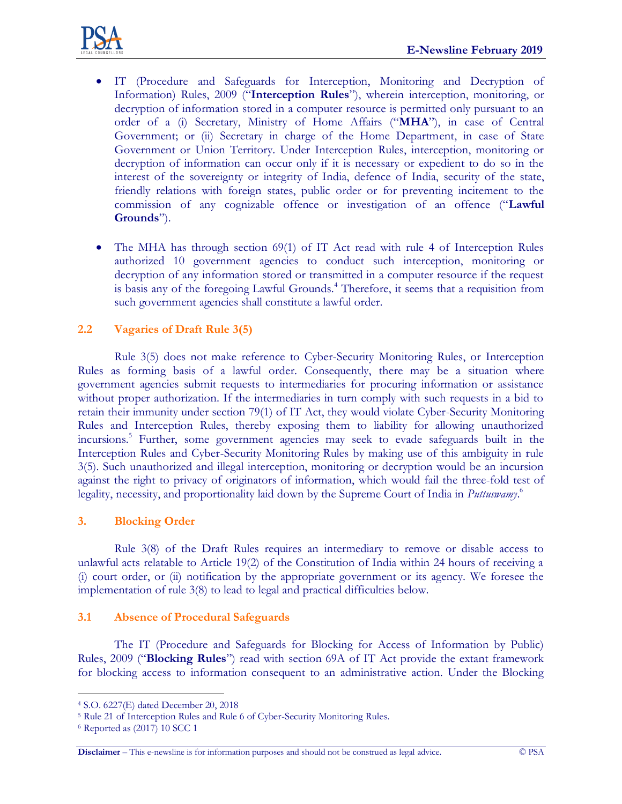

- IT (Procedure and Safeguards for Interception, Monitoring and Decryption of Information) Rules, 2009 ("**Interception Rules**"), wherein interception, monitoring, or decryption of information stored in a computer resource is permitted only pursuant to an order of a (i) Secretary, Ministry of Home Affairs ("**MHA**"), in case of Central Government; or (ii) Secretary in charge of the Home Department, in case of State Government or Union Territory. Under Interception Rules, interception, monitoring or decryption of information can occur only if it is necessary or expedient to do so in the interest of the sovereignty or integrity of India, defence of India, security of the state, friendly relations with foreign states, public order or for preventing incitement to the commission of any cognizable offence or investigation of an offence ("**Lawful Grounds**").
- The MHA has through section 69(1) of IT Act read with rule 4 of Interception Rules authorized 10 government agencies to conduct such interception, monitoring or decryption of any information stored or transmitted in a computer resource if the request is basis any of the foregoing Lawful Grounds.<sup>4</sup> Therefore, it seems that a requisition from such government agencies shall constitute a lawful order.

## **2.2 Vagaries of Draft Rule 3(5)**

Rule 3(5) does not make reference to Cyber-Security Monitoring Rules, or Interception Rules as forming basis of a lawful order. Consequently, there may be a situation where government agencies submit requests to intermediaries for procuring information or assistance without proper authorization. If the intermediaries in turn comply with such requests in a bid to retain their immunity under section 79(1) of IT Act, they would violate Cyber-Security Monitoring Rules and Interception Rules, thereby exposing them to liability for allowing unauthorized incursions.<sup>5</sup> Further, some government agencies may seek to evade safeguards built in the Interception Rules and Cyber-Security Monitoring Rules by making use of this ambiguity in rule 3(5). Such unauthorized and illegal interception, monitoring or decryption would be an incursion against the right to privacy of originators of information, which would fail the three-fold test of legality, necessity, and proportionality laid down by the Supreme Court of India in *Puttuswamy*. 6

#### **3. Blocking Order**

Rule 3(8) of the Draft Rules requires an intermediary to remove or disable access to unlawful acts relatable to Article 19(2) of the Constitution of India within 24 hours of receiving a (i) court order, or (ii) notification by the appropriate government or its agency. We foresee the implementation of rule 3(8) to lead to legal and practical difficulties below.

#### **3.1 Absence of Procedural Safeguards**

The IT (Procedure and Safeguards for Blocking for Access of Information by Public) Rules, 2009 ("**Blocking Rules**") read with section 69A of IT Act provide the extant framework for blocking access to information consequent to an administrative action. Under the Blocking

 $\overline{a}$ 

<sup>4</sup> S.O. 6227(E) dated December 20, 2018

<sup>5</sup> Rule 21 of Interception Rules and Rule 6 of Cyber-Security Monitoring Rules.

<sup>6</sup> Reported as (2017) 10 SCC 1

**Disclaimer** – This e-newsline is for information purposes and should not be construed as legal advice. © PSA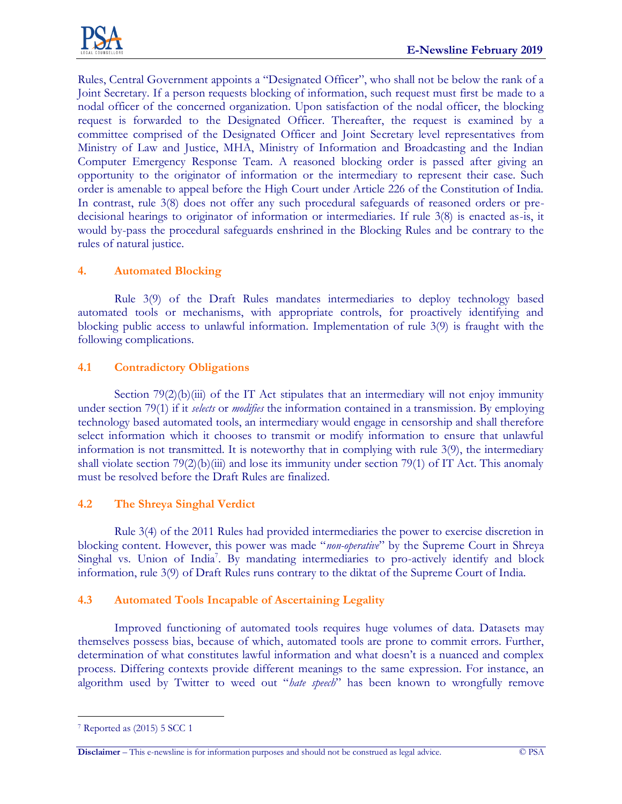

Rules, Central Government appoints a "Designated Officer", who shall not be below the rank of a Joint Secretary. If a person requests blocking of information, such request must first be made to a nodal officer of the concerned organization. Upon satisfaction of the nodal officer, the blocking request is forwarded to the Designated Officer. Thereafter, the request is examined by a committee comprised of the Designated Officer and Joint Secretary level representatives from Ministry of Law and Justice, MHA, Ministry of Information and Broadcasting and the Indian Computer Emergency Response Team. A reasoned blocking order is passed after giving an opportunity to the originator of information or the intermediary to represent their case. Such order is amenable to appeal before the High Court under Article 226 of the Constitution of India. In contrast, rule 3(8) does not offer any such procedural safeguards of reasoned orders or predecisional hearings to originator of information or intermediaries. If rule 3(8) is enacted as-is, it would by-pass the procedural safeguards enshrined in the Blocking Rules and be contrary to the rules of natural justice.

# **4. Automated Blocking**

Rule 3(9) of the Draft Rules mandates intermediaries to deploy technology based automated tools or mechanisms, with appropriate controls, for proactively identifying and blocking public access to unlawful information. Implementation of rule 3(9) is fraught with the following complications.

## **4.1 Contradictory Obligations**

Section  $79(2)(b)(iii)$  of the IT Act stipulates that an intermediary will not enjoy immunity under section 79(1) if it *selects* or *modifies* the information contained in a transmission. By employing technology based automated tools, an intermediary would engage in censorship and shall therefore select information which it chooses to transmit or modify information to ensure that unlawful information is not transmitted. It is noteworthy that in complying with rule 3(9), the intermediary shall violate section  $79(2)(b)(iii)$  and lose its immunity under section  $79(1)$  of IT Act. This anomaly must be resolved before the Draft Rules are finalized.

#### **4.2 The Shreya Singhal Verdict**

Rule 3(4) of the 2011 Rules had provided intermediaries the power to exercise discretion in blocking content. However, this power was made "*non-operative*" by the Supreme Court in Shreya Singhal vs. Union of India<sup>7</sup>. By mandating intermediaries to pro-actively identify and block information, rule 3(9) of Draft Rules runs contrary to the diktat of the Supreme Court of India.

# **4.3 Automated Tools Incapable of Ascertaining Legality**

Improved functioning of automated tools requires huge volumes of data. Datasets may themselves possess bias, because of which, automated tools are prone to commit errors. Further, determination of what constitutes lawful information and what doesn't is a nuanced and complex process. Differing contexts provide different meanings to the same expression. For instance, an algorithm used by Twitter to weed out "*hate speech*" has been known to wrongfully remove

 $\overline{a}$ <sup>7</sup> Reported as (2015) 5 SCC 1

**Disclaimer** – This e-newsline is for information purposes and should not be construed as legal advice. © PSA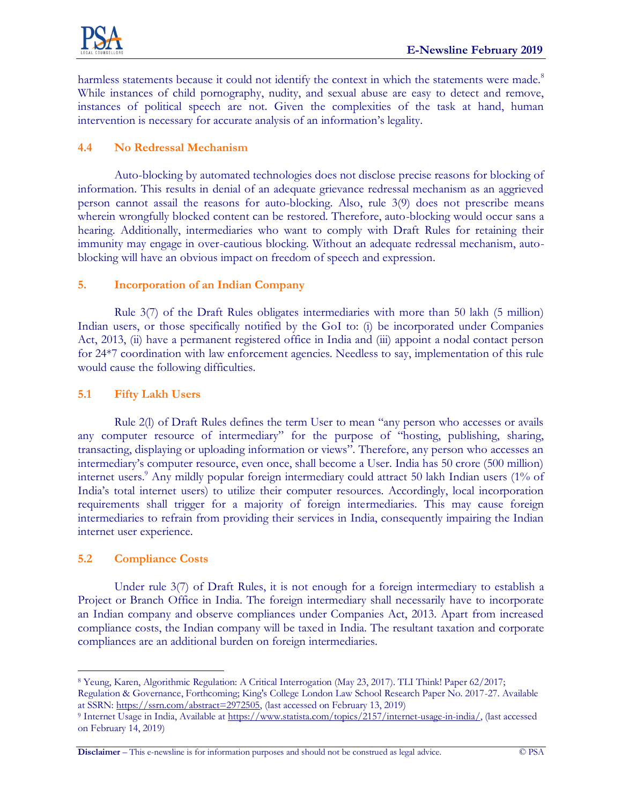

harmless statements because it could not identify the context in which the statements were made.<sup>8</sup> While instances of child pornography, nudity, and sexual abuse are easy to detect and remove, instances of political speech are not. Given the complexities of the task at hand, human intervention is necessary for accurate analysis of an information's legality.

## **4.4 No Redressal Mechanism**

Auto-blocking by automated technologies does not disclose precise reasons for blocking of information. This results in denial of an adequate grievance redressal mechanism as an aggrieved person cannot assail the reasons for auto-blocking. Also, rule 3(9) does not prescribe means wherein wrongfully blocked content can be restored. Therefore, auto-blocking would occur sans a hearing. Additionally, intermediaries who want to comply with Draft Rules for retaining their immunity may engage in over-cautious blocking. Without an adequate redressal mechanism, autoblocking will have an obvious impact on freedom of speech and expression.

# **5. Incorporation of an Indian Company**

Rule 3(7) of the Draft Rules obligates intermediaries with more than 50 lakh (5 million) Indian users, or those specifically notified by the GoI to: (i) be incorporated under Companies Act, 2013, (ii) have a permanent registered office in India and (iii) appoint a nodal contact person for 24\*7 coordination with law enforcement agencies. Needless to say, implementation of this rule would cause the following difficulties.

## **5.1 Fifty Lakh Users**

Rule 2(l) of Draft Rules defines the term User to mean "any person who accesses or avails any computer resource of intermediary" for the purpose of "hosting, publishing, sharing, transacting, displaying or uploading information or views". Therefore, any person who accesses an intermediary's computer resource, even once, shall become a User. India has 50 crore (500 million) internet users.<sup>9</sup> Any mildly popular foreign intermediary could attract 50 lakh Indian users (1% of India's total internet users) to utilize their computer resources. Accordingly, local incorporation requirements shall trigger for a majority of foreign intermediaries. This may cause foreign intermediaries to refrain from providing their services in India, consequently impairing the Indian internet user experience.

# **5.2 Compliance Costs**

 $\overline{a}$ 

Under rule 3(7) of Draft Rules, it is not enough for a foreign intermediary to establish a Project or Branch Office in India. The foreign intermediary shall necessarily have to incorporate an Indian company and observe compliances under Companies Act, 2013. Apart from increased compliance costs, the Indian company will be taxed in India. The resultant taxation and corporate compliances are an additional burden on foreign intermediaries.

**Disclaimer** – This e-newsline is for information purposes and should not be construed as legal advice. © PSA

<sup>8</sup> Yeung, Karen, Algorithmic Regulation: A Critical Interrogation (May 23, 2017). TLI Think! Paper 62/2017; Regulation & Governance, Forthcoming; King's College London Law School Research Paper No. 2017-27. Available at SSRN: [https://ssrn.com/abstract=2972505,](https://ssrn.com/abstract=2972505) (last accessed on February 13, 2019)

<sup>9</sup> Internet Usage in India, Available at [https://www.statista.com/topics/2157/internet-usage-in-india/,](https://www.statista.com/topics/2157/internet-usage-in-india/) (last accessed on February 14, 2019)